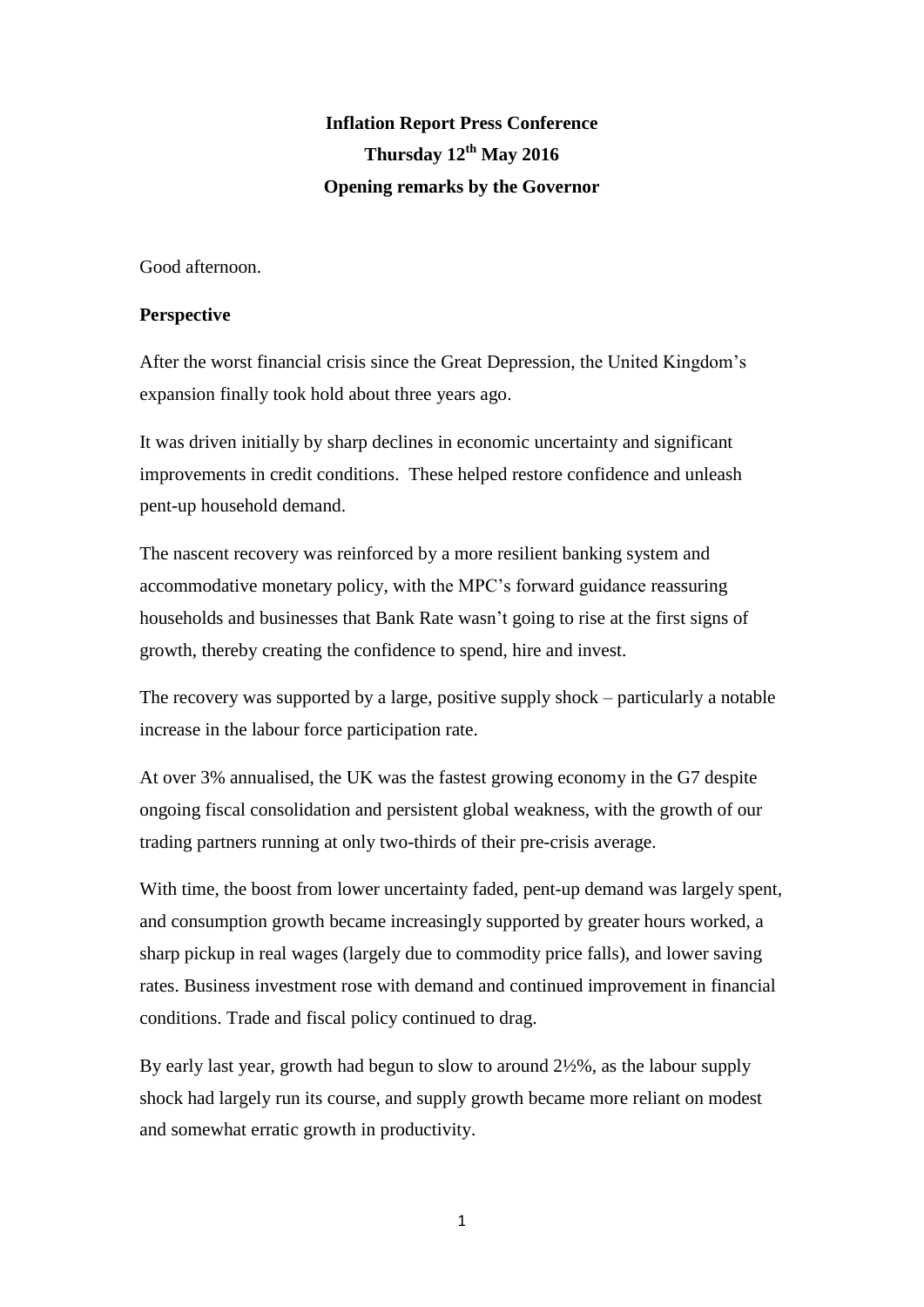# **Inflation Report Press Conference Thursday 12th May 2016 Opening remarks by the Governor**

Good afternoon.

## **Perspective**

After the worst financial crisis since the Great Depression, the United Kingdom's expansion finally took hold about three years ago.

It was driven initially by sharp declines in economic uncertainty and significant improvements in credit conditions. These helped restore confidence and unleash pent-up household demand.

The nascent recovery was reinforced by a more resilient banking system and accommodative monetary policy, with the MPC's forward guidance reassuring households and businesses that Bank Rate wasn't going to rise at the first signs of growth, thereby creating the confidence to spend, hire and invest.

The recovery was supported by a large, positive supply shock – particularly a notable increase in the labour force participation rate.

At over 3% annualised, the UK was the fastest growing economy in the G7 despite ongoing fiscal consolidation and persistent global weakness, with the growth of our trading partners running at only two-thirds of their pre-crisis average.

With time, the boost from lower uncertainty faded, pent-up demand was largely spent, and consumption growth became increasingly supported by greater hours worked, a sharp pickup in real wages (largely due to commodity price falls), and lower saving rates. Business investment rose with demand and continued improvement in financial conditions. Trade and fiscal policy continued to drag.

By early last year, growth had begun to slow to around 2½%, as the labour supply shock had largely run its course, and supply growth became more reliant on modest and somewhat erratic growth in productivity.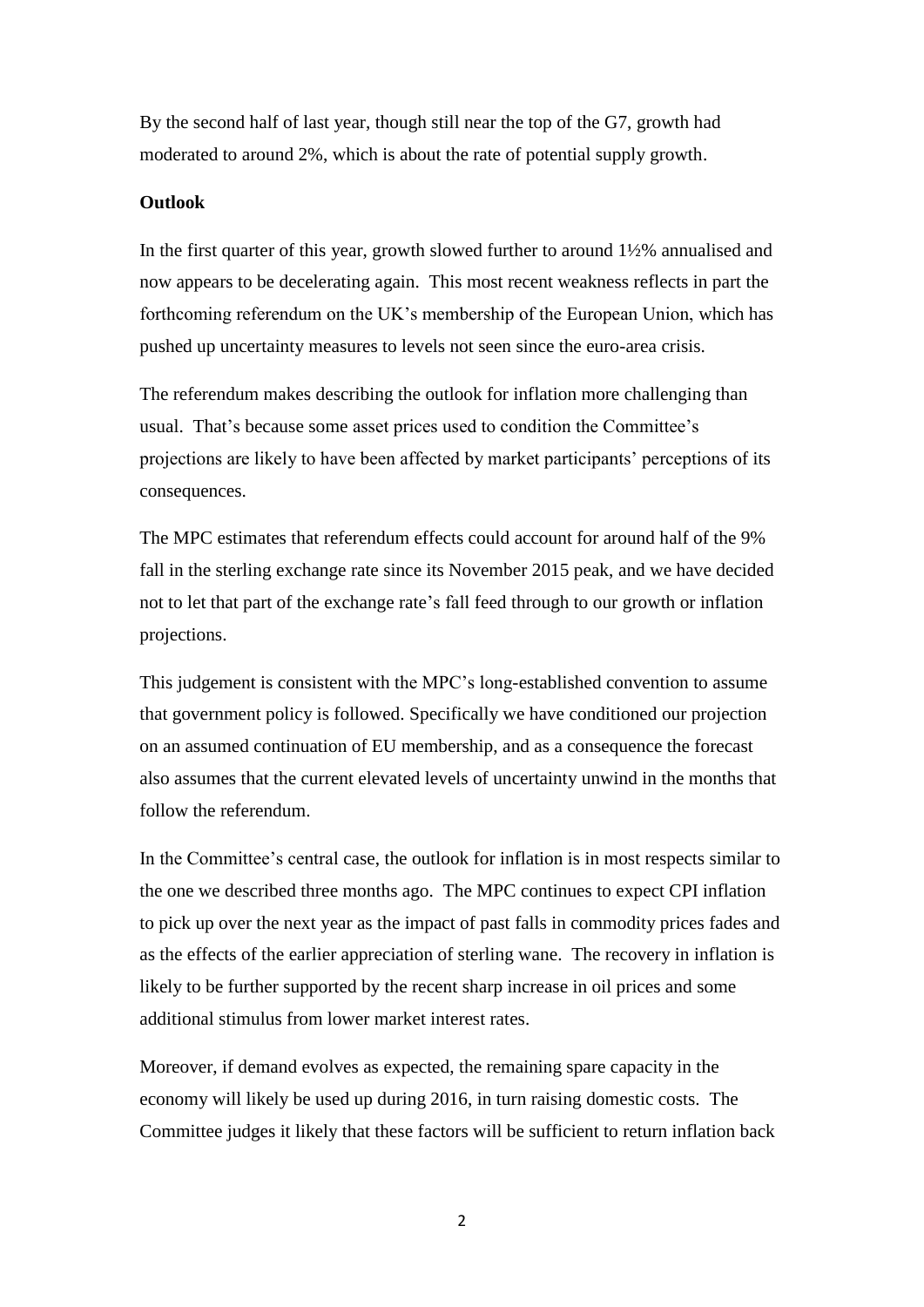By the second half of last year, though still near the top of the G7, growth had moderated to around 2%, which is about the rate of potential supply growth.

## **Outlook**

In the first quarter of this year, growth slowed further to around 1½% annualised and now appears to be decelerating again. This most recent weakness reflects in part the forthcoming referendum on the UK's membership of the European Union, which has pushed up uncertainty measures to levels not seen since the euro-area crisis.

The referendum makes describing the outlook for inflation more challenging than usual. That's because some asset prices used to condition the Committee's projections are likely to have been affected by market participants' perceptions of its consequences.

The MPC estimates that referendum effects could account for around half of the 9% fall in the sterling exchange rate since its November 2015 peak, and we have decided not to let that part of the exchange rate's fall feed through to our growth or inflation projections.

This judgement is consistent with the MPC's long-established convention to assume that government policy is followed. Specifically we have conditioned our projection on an assumed continuation of EU membership, and as a consequence the forecast also assumes that the current elevated levels of uncertainty unwind in the months that follow the referendum.

In the Committee's central case, the outlook for inflation is in most respects similar to the one we described three months ago. The MPC continues to expect CPI inflation to pick up over the next year as the impact of past falls in commodity prices fades and as the effects of the earlier appreciation of sterling wane. The recovery in inflation is likely to be further supported by the recent sharp increase in oil prices and some additional stimulus from lower market interest rates.

Moreover, if demand evolves as expected, the remaining spare capacity in the economy will likely be used up during 2016, in turn raising domestic costs. The Committee judges it likely that these factors will be sufficient to return inflation back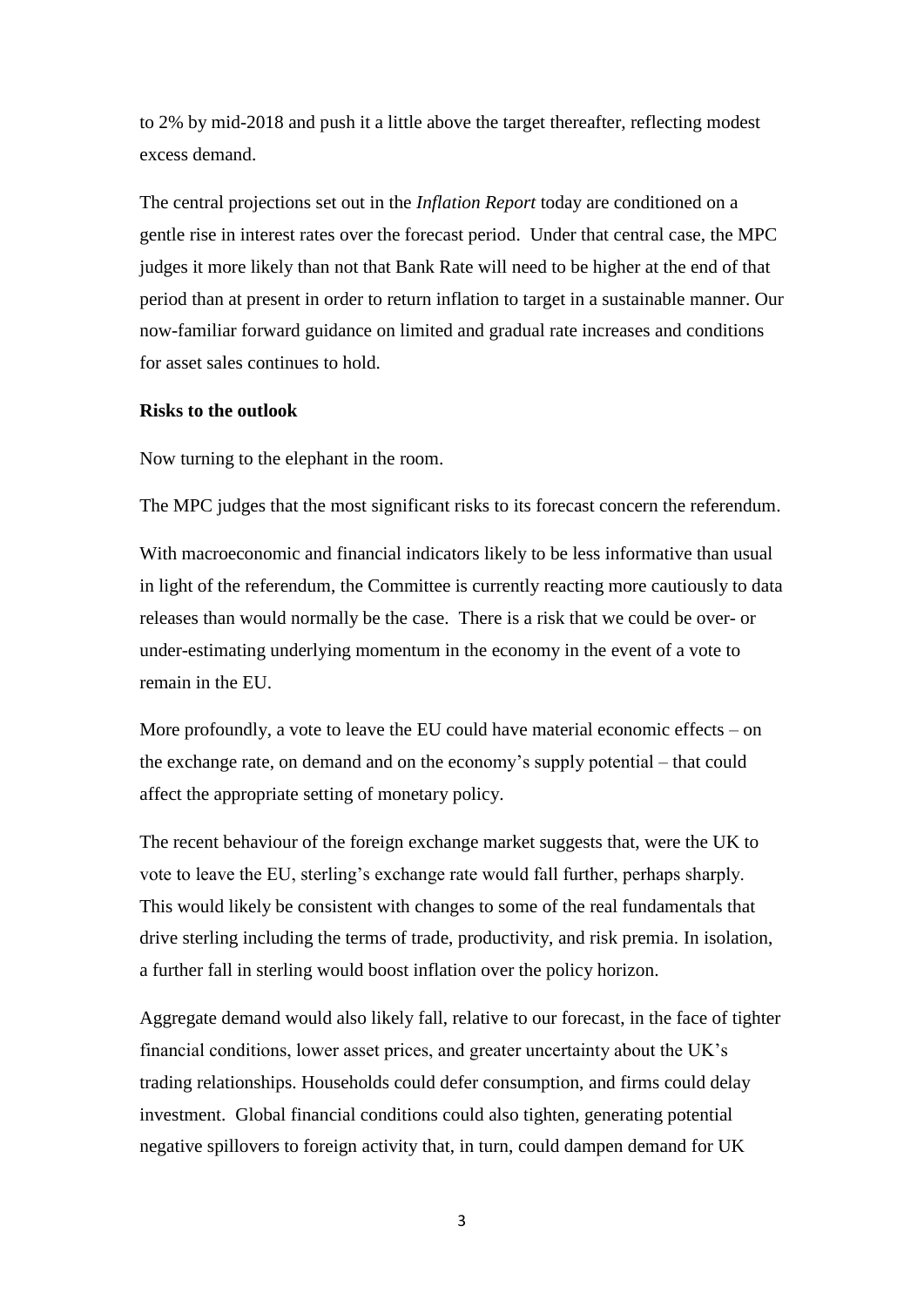to 2% by mid-2018 and push it a little above the target thereafter, reflecting modest excess demand.

The central projections set out in the *Inflation Report* today are conditioned on a gentle rise in interest rates over the forecast period. Under that central case, the MPC judges it more likely than not that Bank Rate will need to be higher at the end of that period than at present in order to return inflation to target in a sustainable manner. Our now-familiar forward guidance on limited and gradual rate increases and conditions for asset sales continues to hold.

#### **Risks to the outlook**

Now turning to the elephant in the room.

The MPC judges that the most significant risks to its forecast concern the referendum.

With macroeconomic and financial indicators likely to be less informative than usual in light of the referendum, the Committee is currently reacting more cautiously to data releases than would normally be the case. There is a risk that we could be over- or under-estimating underlying momentum in the economy in the event of a vote to remain in the EU.

More profoundly, a vote to leave the EU could have material economic effects – on the exchange rate, on demand and on the economy's supply potential – that could affect the appropriate setting of monetary policy.

The recent behaviour of the foreign exchange market suggests that, were the UK to vote to leave the EU, sterling's exchange rate would fall further, perhaps sharply. This would likely be consistent with changes to some of the real fundamentals that drive sterling including the terms of trade, productivity, and risk premia. In isolation, a further fall in sterling would boost inflation over the policy horizon.

Aggregate demand would also likely fall, relative to our forecast, in the face of tighter financial conditions, lower asset prices, and greater uncertainty about the UK's trading relationships. Households could defer consumption, and firms could delay investment. Global financial conditions could also tighten, generating potential negative spillovers to foreign activity that, in turn, could dampen demand for UK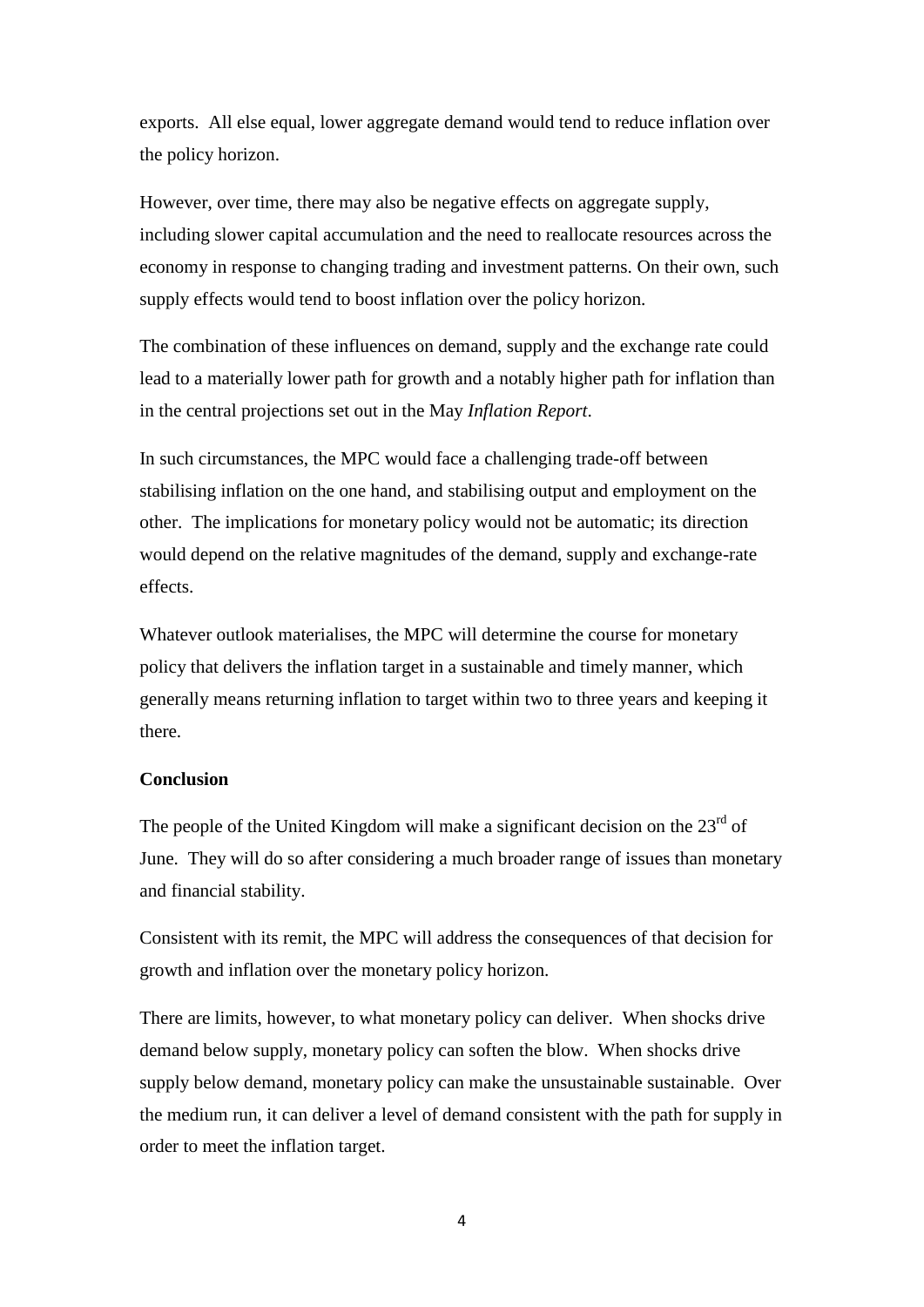exports. All else equal, lower aggregate demand would tend to reduce inflation over the policy horizon.

However, over time, there may also be negative effects on aggregate supply, including slower capital accumulation and the need to reallocate resources across the economy in response to changing trading and investment patterns. On their own, such supply effects would tend to boost inflation over the policy horizon.

The combination of these influences on demand, supply and the exchange rate could lead to a materially lower path for growth and a notably higher path for inflation than in the central projections set out in the May *Inflation Report*.

In such circumstances, the MPC would face a challenging trade-off between stabilising inflation on the one hand, and stabilising output and employment on the other. The implications for monetary policy would not be automatic; its direction would depend on the relative magnitudes of the demand, supply and exchange-rate effects.

Whatever outlook materialises, the MPC will determine the course for monetary policy that delivers the inflation target in a sustainable and timely manner, which generally means returning inflation to target within two to three years and keeping it there.

### **Conclusion**

The people of the United Kingdom will make a significant decision on the  $23<sup>rd</sup>$  of June. They will do so after considering a much broader range of issues than monetary and financial stability.

Consistent with its remit, the MPC will address the consequences of that decision for growth and inflation over the monetary policy horizon.

There are limits, however, to what monetary policy can deliver. When shocks drive demand below supply, monetary policy can soften the blow. When shocks drive supply below demand, monetary policy can make the unsustainable sustainable. Over the medium run, it can deliver a level of demand consistent with the path for supply in order to meet the inflation target.